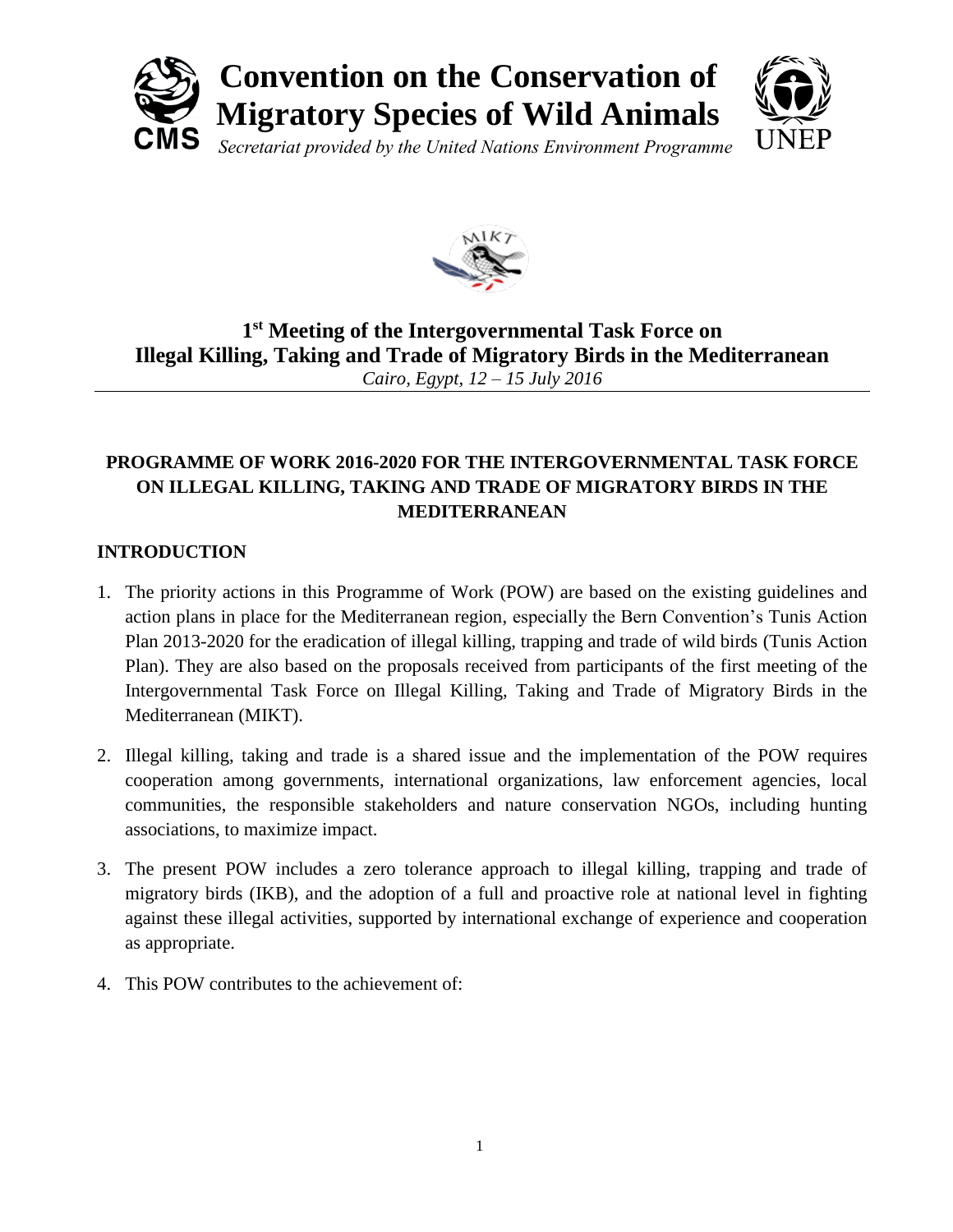



# **1 st Meeting of the Intergovernmental Task Force on Illegal Killing, Taking and Trade of Migratory Birds in the Mediterranean** *Cairo, Egypt, 12 – 15 July 2016*

## **PROGRAMME OF WORK 2016-2020 FOR THE INTERGOVERNMENTAL TASK FORCE ON ILLEGAL KILLING, TAKING AND TRADE OF MIGRATORY BIRDS IN THE MEDITERRANEAN**

## **INTRODUCTION**

- 1. The priority actions in this Programme of Work (POW) are based on the existing guidelines and action plans in place for the Mediterranean region, especially the Bern Convention's Tunis Action Plan 2013-2020 for the eradication of illegal killing, trapping and trade of wild birds (Tunis Action Plan). They are also based on the proposals received from participants of the first meeting of the Intergovernmental Task Force on Illegal Killing, Taking and Trade of Migratory Birds in the Mediterranean (MIKT).
- 2. Illegal killing, taking and trade is a shared issue and the implementation of the POW requires cooperation among governments, international organizations, law enforcement agencies, local communities, the responsible stakeholders and nature conservation NGOs, including hunting associations, to maximize impact.
- 3. The present POW includes a zero tolerance approach to illegal killing, trapping and trade of migratory birds (IKB), and the adoption of a full and proactive role at national level in fighting against these illegal activities, supported by international exchange of experience and cooperation as appropriate.
- 4. This POW contributes to the achievement of: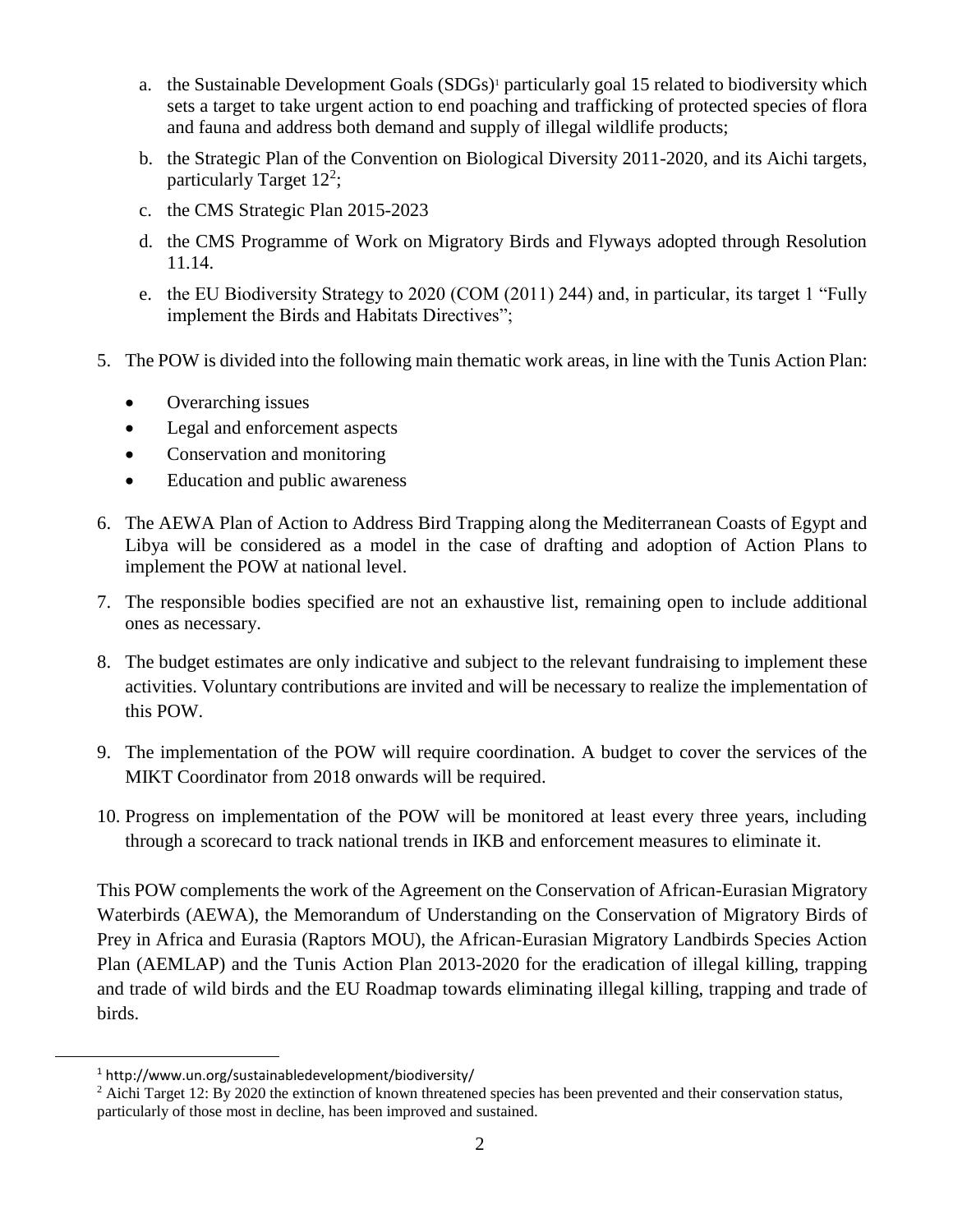- a. the Sustainable Development Goals (SDGs)<sup>1</sup> particularly goal 15 related to biodiversity which sets a target to take urgent action to end poaching and trafficking of protected species of flora and fauna and address both demand and supply of illegal wildlife products;
- b. the Strategic Plan of the Convention on Biological Diversity 2011-2020, and its Aichi targets, particularly Target  $12^2$ ;
- c. the CMS Strategic Plan 2015-2023
- d. the CMS Programme of Work on Migratory Birds and Flyways adopted through Resolution 11.14.
- e. the EU Biodiversity Strategy to 2020 (COM (2011) 244) and, in particular, its target 1 "Fully implement the Birds and Habitats Directives";
- 5. The POW is divided into the following main thematic work areas, in line with the Tunis Action Plan:
	- Overarching issues
	- Legal and enforcement aspects
	- Conservation and monitoring
	- Education and public awareness
- 6. The AEWA Plan of Action to Address Bird Trapping along the Mediterranean Coasts of Egypt and Libya will be considered as a model in the case of drafting and adoption of Action Plans to implement the POW at national level.
- 7. The responsible bodies specified are not an exhaustive list, remaining open to include additional ones as necessary.
- 8. The budget estimates are only indicative and subject to the relevant fundraising to implement these activities. Voluntary contributions are invited and will be necessary to realize the implementation of this POW.
- 9. The implementation of the POW will require coordination. A budget to cover the services of the MIKT Coordinator from 2018 onwards will be required.
- 10. Progress on implementation of the POW will be monitored at least every three years, including through a scorecard to track national trends in IKB and enforcement measures to eliminate it.

This POW complements the work of the Agreement on the Conservation of African-Eurasian Migratory Waterbirds (AEWA), the Memorandum of Understanding on the Conservation of Migratory Birds of Prey in Africa and Eurasia (Raptors MOU), the African-Eurasian Migratory Landbirds Species Action Plan (AEMLAP) and the Tunis Action Plan 2013-2020 for the eradication of illegal killing, trapping and trade of wild birds and the EU Roadmap towards eliminating illegal killing, trapping and trade of birds.

<sup>1</sup> http://www.un.org/sustainabledevelopment/biodiversity/

<sup>&</sup>lt;sup>2</sup> Aichi Target 12: By 2020 the extinction of known threatened species has been prevented and their conservation status, particularly of those most in decline, has been improved and sustained.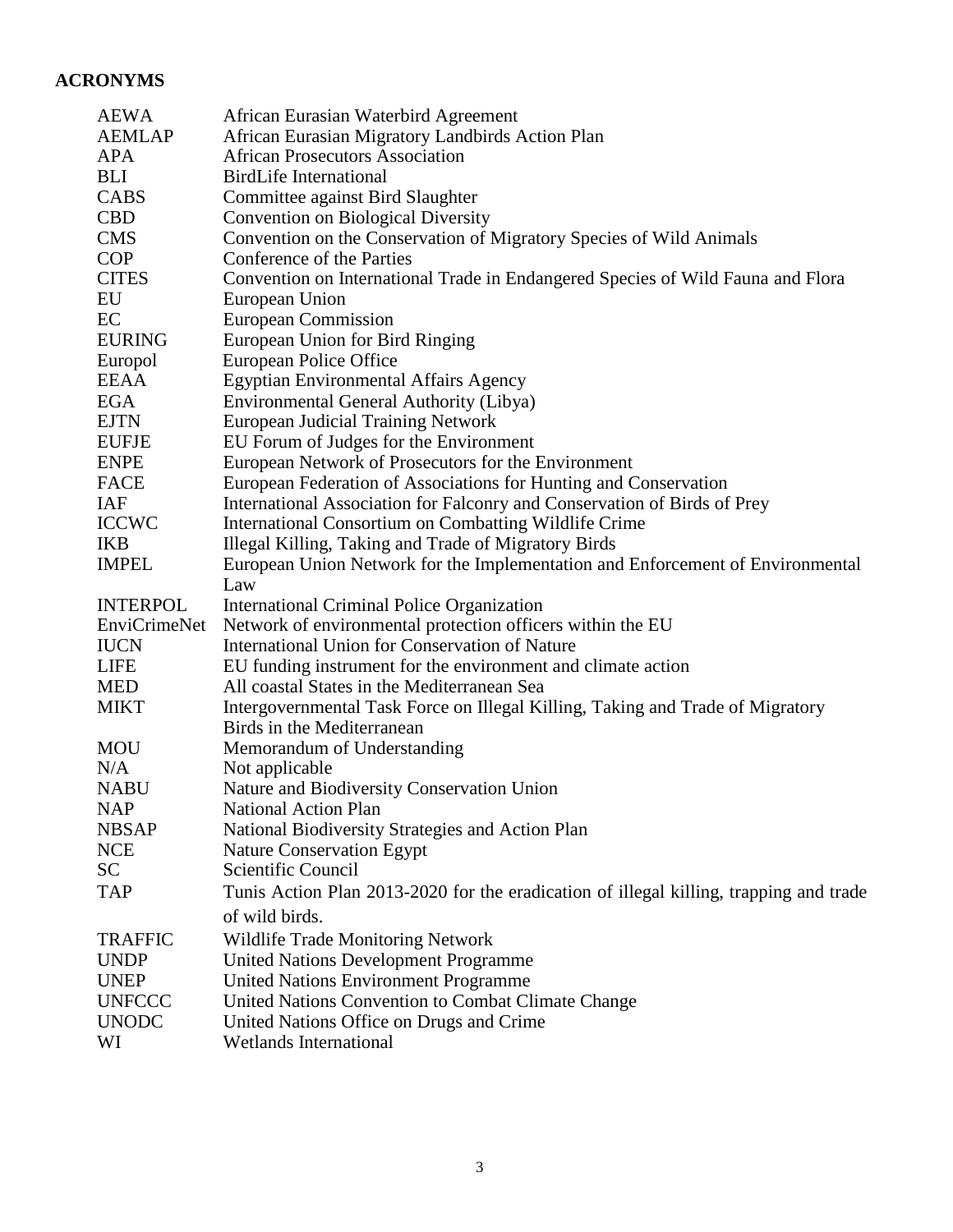## **ACRONYMS**

| <b>AEWA</b>        | African Eurasian Waterbird Agreement                                                                         |
|--------------------|--------------------------------------------------------------------------------------------------------------|
| <b>AEMLAP</b>      | African Eurasian Migratory Landbirds Action Plan                                                             |
| <b>APA</b>         | <b>African Prosecutors Association</b>                                                                       |
| <b>BLI</b>         | <b>BirdLife International</b>                                                                                |
| CABS               | Committee against Bird Slaughter                                                                             |
| <b>CBD</b>         | <b>Convention on Biological Diversity</b>                                                                    |
| <b>CMS</b>         | Convention on the Conservation of Migratory Species of Wild Animals                                          |
| <b>COP</b>         | Conference of the Parties                                                                                    |
| <b>CITES</b>       | Convention on International Trade in Endangered Species of Wild Fauna and Flora                              |
| EU                 | European Union                                                                                               |
| EC                 | <b>European Commission</b>                                                                                   |
| <b>EURING</b>      | European Union for Bird Ringing                                                                              |
| Europol            | European Police Office                                                                                       |
| <b>EEAA</b>        | <b>Egyptian Environmental Affairs Agency</b>                                                                 |
| <b>EGA</b>         | Environmental General Authority (Libya)                                                                      |
| <b>EJTN</b>        | <b>European Judicial Training Network</b>                                                                    |
| <b>EUFJE</b>       | EU Forum of Judges for the Environment                                                                       |
| <b>ENPE</b>        | European Network of Prosecutors for the Environment                                                          |
| <b>FACE</b>        | European Federation of Associations for Hunting and Conservation                                             |
| <b>IAF</b>         | International Association for Falconry and Conservation of Birds of Prey                                     |
| <b>ICCWC</b>       | International Consortium on Combatting Wildlife Crime                                                        |
| <b>IKB</b>         | Illegal Killing, Taking and Trade of Migratory Birds                                                         |
| <b>IMPEL</b>       | European Union Network for the Implementation and Enforcement of Environmental                               |
|                    | Law                                                                                                          |
| <b>INTERPOL</b>    | International Criminal Police Organization                                                                   |
| EnviCrimeNet       | Network of environmental protection officers within the EU                                                   |
| <b>IUCN</b>        | International Union for Conservation of Nature                                                               |
| <b>LIFE</b>        | EU funding instrument for the environment and climate action                                                 |
| <b>MED</b>         |                                                                                                              |
|                    | All coastal States in the Mediterranean Sea                                                                  |
| <b>MIKT</b>        |                                                                                                              |
|                    | Intergovernmental Task Force on Illegal Killing, Taking and Trade of Migratory<br>Birds in the Mediterranean |
| <b>MOU</b>         |                                                                                                              |
| N/A                | Memorandum of Understanding<br>Not applicable                                                                |
| <b>NABU</b>        | Nature and Biodiversity Conservation Union                                                                   |
| <b>NAP</b>         | <b>National Action Plan</b>                                                                                  |
| <b>NBSAP</b>       | National Biodiversity Strategies and Action Plan                                                             |
| <b>NCE</b>         | <b>Nature Conservation Egypt</b>                                                                             |
| SC                 | Scientific Council                                                                                           |
| <b>TAP</b>         | Tunis Action Plan 2013-2020 for the eradication of illegal killing, trapping and trade                       |
|                    | of wild birds.                                                                                               |
|                    |                                                                                                              |
| <b>TRAFFIC</b>     | <b>Wildlife Trade Monitoring Network</b>                                                                     |
| <b>UNDP</b>        | <b>United Nations Development Programme</b>                                                                  |
| <b>UNEP</b>        | <b>United Nations Environment Programme</b>                                                                  |
| <b>UNFCCC</b>      | United Nations Convention to Combat Climate Change                                                           |
| <b>UNODC</b><br>WI | United Nations Office on Drugs and Crime<br><b>Wetlands International</b>                                    |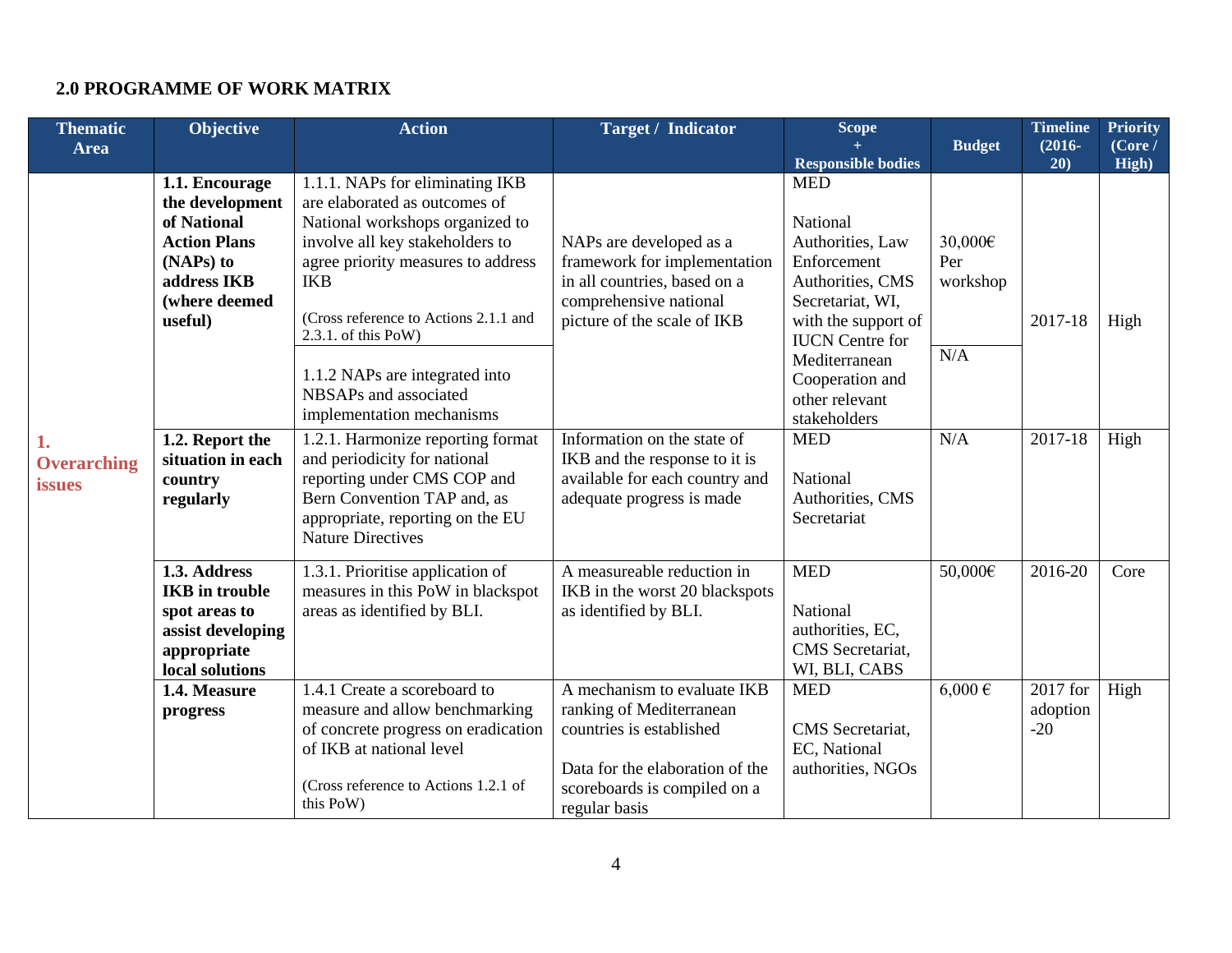## **2.0 PROGRAMME OF WORK MATRIX**

| <b>Thematic</b>                           | <b>Objective</b>                                                                                                                | <b>Action</b>                                                                                                                                                                                                                                                | <b>Target / Indicator</b>                                                                                                                                               | <b>Scope</b>                                                                                                                                       |                            | <b>Timeline</b>               | <b>Priority</b>  |
|-------------------------------------------|---------------------------------------------------------------------------------------------------------------------------------|--------------------------------------------------------------------------------------------------------------------------------------------------------------------------------------------------------------------------------------------------------------|-------------------------------------------------------------------------------------------------------------------------------------------------------------------------|----------------------------------------------------------------------------------------------------------------------------------------------------|----------------------------|-------------------------------|------------------|
| Area                                      |                                                                                                                                 |                                                                                                                                                                                                                                                              |                                                                                                                                                                         | <b>Responsible bodies</b>                                                                                                                          | <b>Budget</b>              | $(2016 -$<br>20)              | (Core /<br>High) |
| 1.<br><b>Overarching</b><br><b>issues</b> | 1.1. Encourage<br>the development<br>of National<br><b>Action Plans</b><br>(NAPs) to<br>address IKB<br>(where deemed<br>useful) | 1.1.1. NAPs for eliminating IKB<br>are elaborated as outcomes of<br>National workshops organized to<br>involve all key stakeholders to<br>agree priority measures to address<br><b>IKB</b><br>(Cross reference to Actions 2.1.1 and<br>$2.3.1.$ of this PoW) | NAPs are developed as a<br>framework for implementation<br>in all countries, based on a<br>comprehensive national<br>picture of the scale of IKB                        | <b>MED</b><br>National<br>Authorities, Law<br>Enforcement<br>Authorities, CMS<br>Secretariat, WI,<br>with the support of<br><b>IUCN</b> Centre for | 30,000€<br>Per<br>workshop | 2017-18                       | High             |
|                                           |                                                                                                                                 | 1.1.2 NAPs are integrated into<br>NBSAPs and associated<br>implementation mechanisms                                                                                                                                                                         |                                                                                                                                                                         | Mediterranean<br>Cooperation and<br>other relevant<br>stakeholders                                                                                 | N/A                        |                               |                  |
|                                           | 1.2. Report the<br>situation in each<br>country<br>regularly                                                                    | 1.2.1. Harmonize reporting format<br>and periodicity for national<br>reporting under CMS COP and<br>Bern Convention TAP and, as<br>appropriate, reporting on the EU<br><b>Nature Directives</b>                                                              | Information on the state of<br>IKB and the response to it is<br>available for each country and<br>adequate progress is made                                             | <b>MED</b><br>National<br>Authorities, CMS<br>Secretariat                                                                                          | N/A                        | 2017-18                       | High             |
|                                           | 1.3. Address<br><b>IKB</b> in trouble<br>spot areas to<br>assist developing<br>appropriate<br>local solutions                   | 1.3.1. Prioritise application of<br>measures in this PoW in blackspot<br>areas as identified by BLI.                                                                                                                                                         | A measureable reduction in<br>IKB in the worst 20 blackspots<br>as identified by BLI.                                                                                   | <b>MED</b><br>National<br>authorities, EC,<br>CMS Secretariat,<br>WI, BLI, CABS                                                                    | 50,000€                    | 2016-20                       | Core             |
|                                           | 1.4. Measure<br>progress                                                                                                        | 1.4.1 Create a scoreboard to<br>measure and allow benchmarking<br>of concrete progress on eradication<br>of IKB at national level<br>(Cross reference to Actions 1.2.1 of<br>this PoW)                                                                       | A mechanism to evaluate IKB<br>ranking of Mediterranean<br>countries is established<br>Data for the elaboration of the<br>scoreboards is compiled on a<br>regular basis | <b>MED</b><br>CMS Secretariat,<br>EC, National<br>authorities, NGOs                                                                                | $6,000 \in$                | 2017 for<br>adoption<br>$-20$ | High             |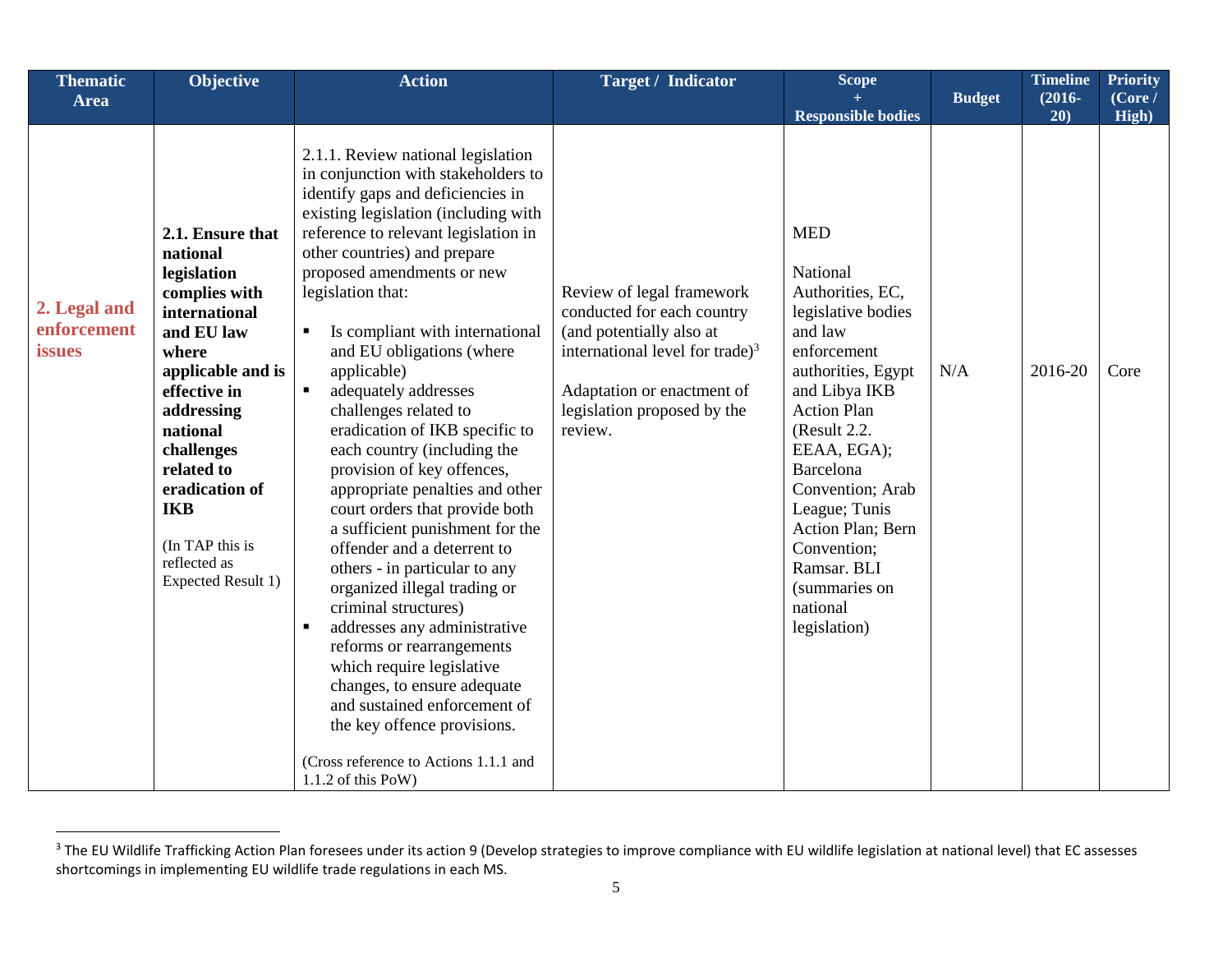| <b>Thematic</b>                       | <b>Objective</b>                                                                                                                                                                                                                                                                         | <b>Action</b>                                                                                                                                                                                                                                                                                                                                                                                                                                                                                                                                                                                                                                                                                                                                                                                                                                                                                                                                                                                                                    | <b>Target / Indicator</b>                                                                                                                                                                         | Scope                                                                                                                                                                                                                                                                                                                                           |               | <b>Timeline</b>  | <b>Priority</b>  |
|---------------------------------------|------------------------------------------------------------------------------------------------------------------------------------------------------------------------------------------------------------------------------------------------------------------------------------------|----------------------------------------------------------------------------------------------------------------------------------------------------------------------------------------------------------------------------------------------------------------------------------------------------------------------------------------------------------------------------------------------------------------------------------------------------------------------------------------------------------------------------------------------------------------------------------------------------------------------------------------------------------------------------------------------------------------------------------------------------------------------------------------------------------------------------------------------------------------------------------------------------------------------------------------------------------------------------------------------------------------------------------|---------------------------------------------------------------------------------------------------------------------------------------------------------------------------------------------------|-------------------------------------------------------------------------------------------------------------------------------------------------------------------------------------------------------------------------------------------------------------------------------------------------------------------------------------------------|---------------|------------------|------------------|
| <b>Area</b>                           |                                                                                                                                                                                                                                                                                          |                                                                                                                                                                                                                                                                                                                                                                                                                                                                                                                                                                                                                                                                                                                                                                                                                                                                                                                                                                                                                                  |                                                                                                                                                                                                   | <b>Responsible bodies</b>                                                                                                                                                                                                                                                                                                                       | <b>Budget</b> | $(2016 -$<br>20) | (Core /<br>High) |
| 2. Legal and<br>enforcement<br>issues | 2.1. Ensure that<br>national<br>legislation<br>complies with<br>international<br>and EU law<br>where<br>applicable and is<br>effective in<br>addressing<br>national<br>challenges<br>related to<br>eradication of<br><b>IKB</b><br>(In TAP this is<br>reflected as<br>Expected Result 1) | 2.1.1. Review national legislation<br>in conjunction with stakeholders to<br>identify gaps and deficiencies in<br>existing legislation (including with<br>reference to relevant legislation in<br>other countries) and prepare<br>proposed amendments or new<br>legislation that:<br>Is compliant with international<br>٠<br>and EU obligations (where<br>applicable)<br>adequately addresses<br>$\blacksquare$<br>challenges related to<br>eradication of IKB specific to<br>each country (including the<br>provision of key offences,<br>appropriate penalties and other<br>court orders that provide both<br>a sufficient punishment for the<br>offender and a deterrent to<br>others - in particular to any<br>organized illegal trading or<br>criminal structures)<br>addresses any administrative<br>reforms or rearrangements<br>which require legislative<br>changes, to ensure adequate<br>and sustained enforcement of<br>the key offence provisions.<br>(Cross reference to Actions 1.1.1 and<br>$1.1.2$ of this PoW) | Review of legal framework<br>conducted for each country<br>(and potentially also at<br>international level for trade) $3$<br>Adaptation or enactment of<br>legislation proposed by the<br>review. | <b>MED</b><br>National<br>Authorities, EC,<br>legislative bodies<br>and law<br>enforcement<br>authorities, Egypt<br>and Libya IKB<br><b>Action Plan</b><br>(Result 2.2.<br>EEAA, EGA);<br><b>Barcelona</b><br>Convention; Arab<br>League; Tunis<br>Action Plan; Bern<br>Convention;<br>Ramsar. BLI<br>(summaries on<br>national<br>legislation) | N/A           | 2016-20          | Core             |

<sup>&</sup>lt;sup>3</sup> The EU Wildlife Trafficking Action Plan foresees under its action 9 (Develop strategies to improve compliance with EU wildlife legislation at national level) that EC assesses shortcomings in implementing EU wildlife trade regulations in each MS.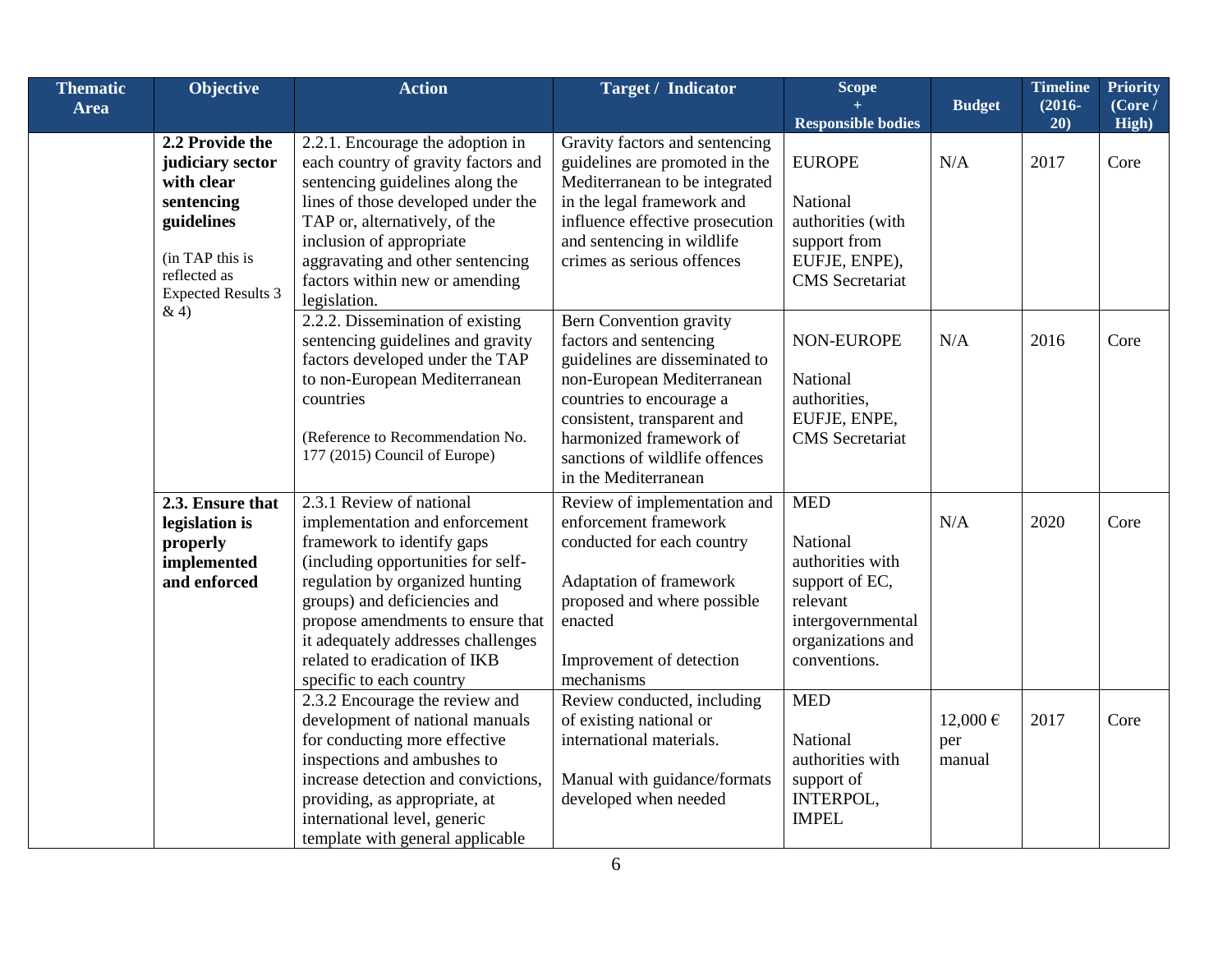| <b>Thematic</b> | <b>Objective</b>                                                                                                                              | <b>Action</b>                                                                                                                                                                                                                                                                                                                             | <b>Target / Indicator</b>                                                                                                                                                                                                                                                | Scope                                                                                                                              |                          | <b>Timeline</b>  | <b>Priority</b>   |
|-----------------|-----------------------------------------------------------------------------------------------------------------------------------------------|-------------------------------------------------------------------------------------------------------------------------------------------------------------------------------------------------------------------------------------------------------------------------------------------------------------------------------------------|--------------------------------------------------------------------------------------------------------------------------------------------------------------------------------------------------------------------------------------------------------------------------|------------------------------------------------------------------------------------------------------------------------------------|--------------------------|------------------|-------------------|
| <b>Area</b>     |                                                                                                                                               |                                                                                                                                                                                                                                                                                                                                           |                                                                                                                                                                                                                                                                          | <b>Responsible bodies</b>                                                                                                          | <b>Budget</b>            | $(2016 -$<br>20) | (Core l)<br>High) |
|                 | 2.2 Provide the<br>judiciary sector<br>with clear<br>sentencing<br>guidelines<br>(in TAP this is<br>reflected as<br><b>Expected Results 3</b> | 2.2.1. Encourage the adoption in<br>each country of gravity factors and<br>sentencing guidelines along the<br>lines of those developed under the<br>TAP or, alternatively, of the<br>inclusion of appropriate<br>aggravating and other sentencing<br>factors within new or amending<br>legislation.                                       | Gravity factors and sentencing<br>guidelines are promoted in the<br>Mediterranean to be integrated<br>in the legal framework and<br>influence effective prosecution<br>and sentencing in wildlife<br>crimes as serious offences                                          | <b>EUROPE</b><br>National<br>authorities (with<br>support from<br>EUFJE, ENPE),<br><b>CMS</b> Secretariat                          | N/A                      | 2017             | Core              |
|                 | &4)                                                                                                                                           | 2.2.2. Dissemination of existing<br>sentencing guidelines and gravity<br>factors developed under the TAP<br>to non-European Mediterranean<br>countries<br>(Reference to Recommendation No.<br>177 (2015) Council of Europe)                                                                                                               | <b>Bern Convention gravity</b><br>factors and sentencing<br>guidelines are disseminated to<br>non-European Mediterranean<br>countries to encourage a<br>consistent, transparent and<br>harmonized framework of<br>sanctions of wildlife offences<br>in the Mediterranean | NON-EUROPE<br>National<br>authorities,<br>EUFJE, ENPE,<br><b>CMS</b> Secretariat                                                   | N/A                      | 2016             | Core              |
|                 | 2.3. Ensure that<br>legislation is<br>properly<br>implemented<br>and enforced                                                                 | 2.3.1 Review of national<br>implementation and enforcement<br>framework to identify gaps<br>(including opportunities for self-<br>regulation by organized hunting<br>groups) and deficiencies and<br>propose amendments to ensure that<br>it adequately addresses challenges<br>related to eradication of IKB<br>specific to each country | Review of implementation and<br>enforcement framework<br>conducted for each country<br>Adaptation of framework<br>proposed and where possible<br>enacted<br>Improvement of detection<br>mechanisms                                                                       | <b>MED</b><br>National<br>authorities with<br>support of EC,<br>relevant<br>intergovernmental<br>organizations and<br>conventions. | N/A                      | 2020             | Core              |
|                 |                                                                                                                                               | 2.3.2 Encourage the review and<br>development of national manuals<br>for conducting more effective<br>inspections and ambushes to<br>increase detection and convictions,<br>providing, as appropriate, at<br>international level, generic<br>template with general applicable                                                             | Review conducted, including<br>of existing national or<br>international materials.<br>Manual with guidance/formats<br>developed when needed                                                                                                                              | <b>MED</b><br>National<br>authorities with<br>support of<br>INTERPOL,<br><b>IMPEL</b>                                              | 12,000€<br>per<br>manual | 2017             | Core              |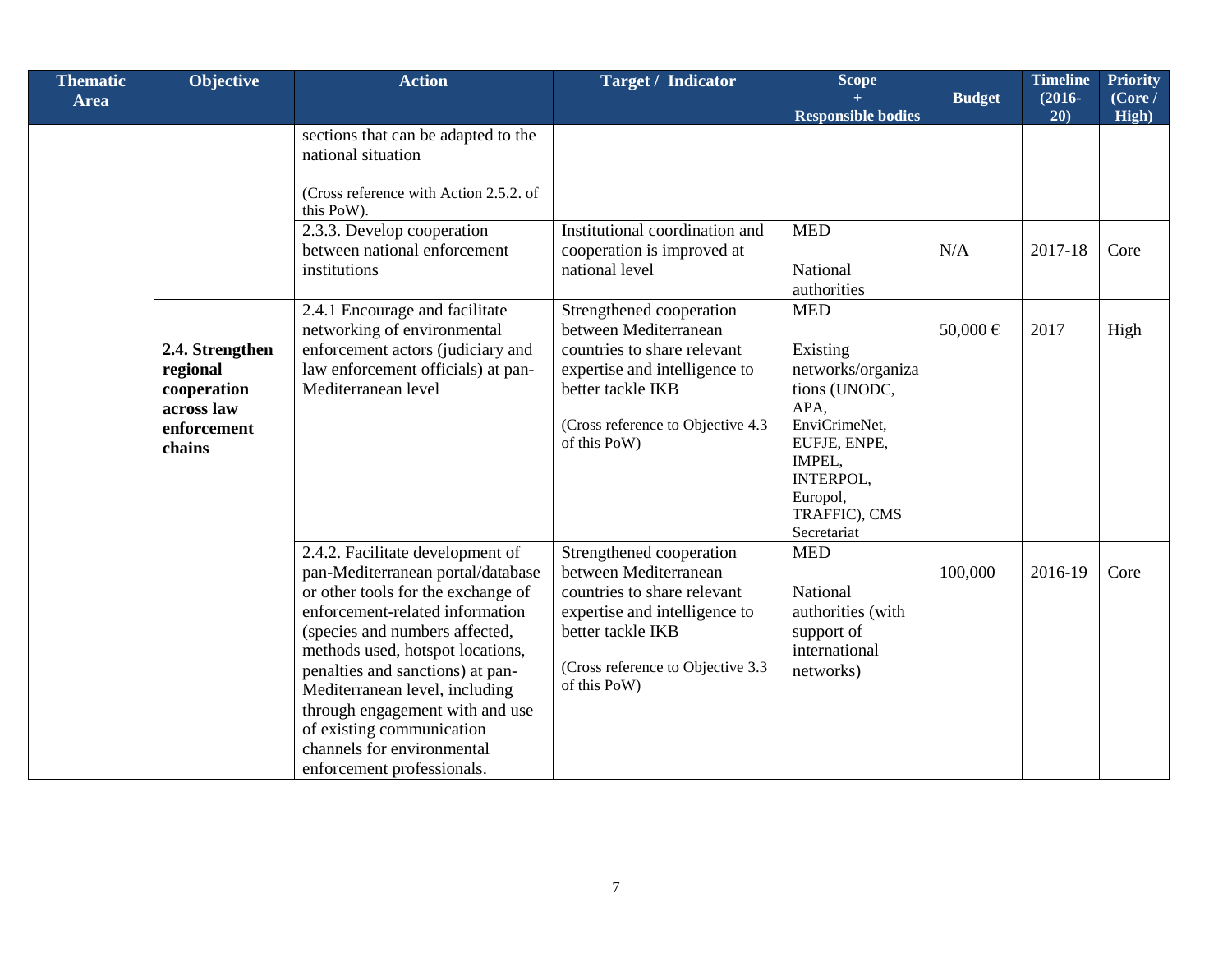| <b>Thematic</b><br><b>Area</b>                                                    | Objective | <b>Action</b>                                                                                                                                                                                                                                                                                                                                                                                                          | <b>Target / Indicator</b>                                                                                                                                                                   | <b>Scope</b>                                                                                                                                                             | <b>Budget</b> | <b>Timeline</b><br>$(2016 -$ | <b>Priority</b><br>(Core / |
|-----------------------------------------------------------------------------------|-----------|------------------------------------------------------------------------------------------------------------------------------------------------------------------------------------------------------------------------------------------------------------------------------------------------------------------------------------------------------------------------------------------------------------------------|---------------------------------------------------------------------------------------------------------------------------------------------------------------------------------------------|--------------------------------------------------------------------------------------------------------------------------------------------------------------------------|---------------|------------------------------|----------------------------|
|                                                                                   |           |                                                                                                                                                                                                                                                                                                                                                                                                                        |                                                                                                                                                                                             | <b>Responsible bodies</b>                                                                                                                                                |               | 20)                          | High)                      |
|                                                                                   |           | sections that can be adapted to the<br>national situation<br>(Cross reference with Action 2.5.2. of<br>this PoW).                                                                                                                                                                                                                                                                                                      |                                                                                                                                                                                             |                                                                                                                                                                          |               |                              |                            |
|                                                                                   |           | 2.3.3. Develop cooperation<br>between national enforcement<br>institutions                                                                                                                                                                                                                                                                                                                                             | Institutional coordination and<br>cooperation is improved at<br>national level                                                                                                              | <b>MED</b><br>National<br>authorities                                                                                                                                    | N/A           | 2017-18                      | Core                       |
| 2.4. Strengthen<br>regional<br>cooperation<br>across law<br>enforcement<br>chains |           | 2.4.1 Encourage and facilitate<br>networking of environmental<br>enforcement actors (judiciary and<br>law enforcement officials) at pan-<br>Mediterranean level                                                                                                                                                                                                                                                        | Strengthened cooperation<br>between Mediterranean<br>countries to share relevant<br>expertise and intelligence to<br>better tackle IKB<br>(Cross reference to Objective 4.3<br>of this PoW) | <b>MED</b><br>Existing<br>networks/organiza<br>tions (UNODC,<br>APA,<br>EnviCrimeNet,<br>EUFJE, ENPE,<br>IMPEL,<br>INTERPOL,<br>Europol,<br>TRAFFIC), CMS<br>Secretariat | 50,000€       | 2017                         | High                       |
|                                                                                   |           | 2.4.2. Facilitate development of<br>pan-Mediterranean portal/database<br>or other tools for the exchange of<br>enforcement-related information<br>(species and numbers affected,<br>methods used, hotspot locations,<br>penalties and sanctions) at pan-<br>Mediterranean level, including<br>through engagement with and use<br>of existing communication<br>channels for environmental<br>enforcement professionals. | Strengthened cooperation<br>between Mediterranean<br>countries to share relevant<br>expertise and intelligence to<br>better tackle IKB<br>(Cross reference to Objective 3.3<br>of this PoW) | <b>MED</b><br>National<br>authorities (with<br>support of<br>international<br>networks)                                                                                  | 100,000       | 2016-19                      | Core                       |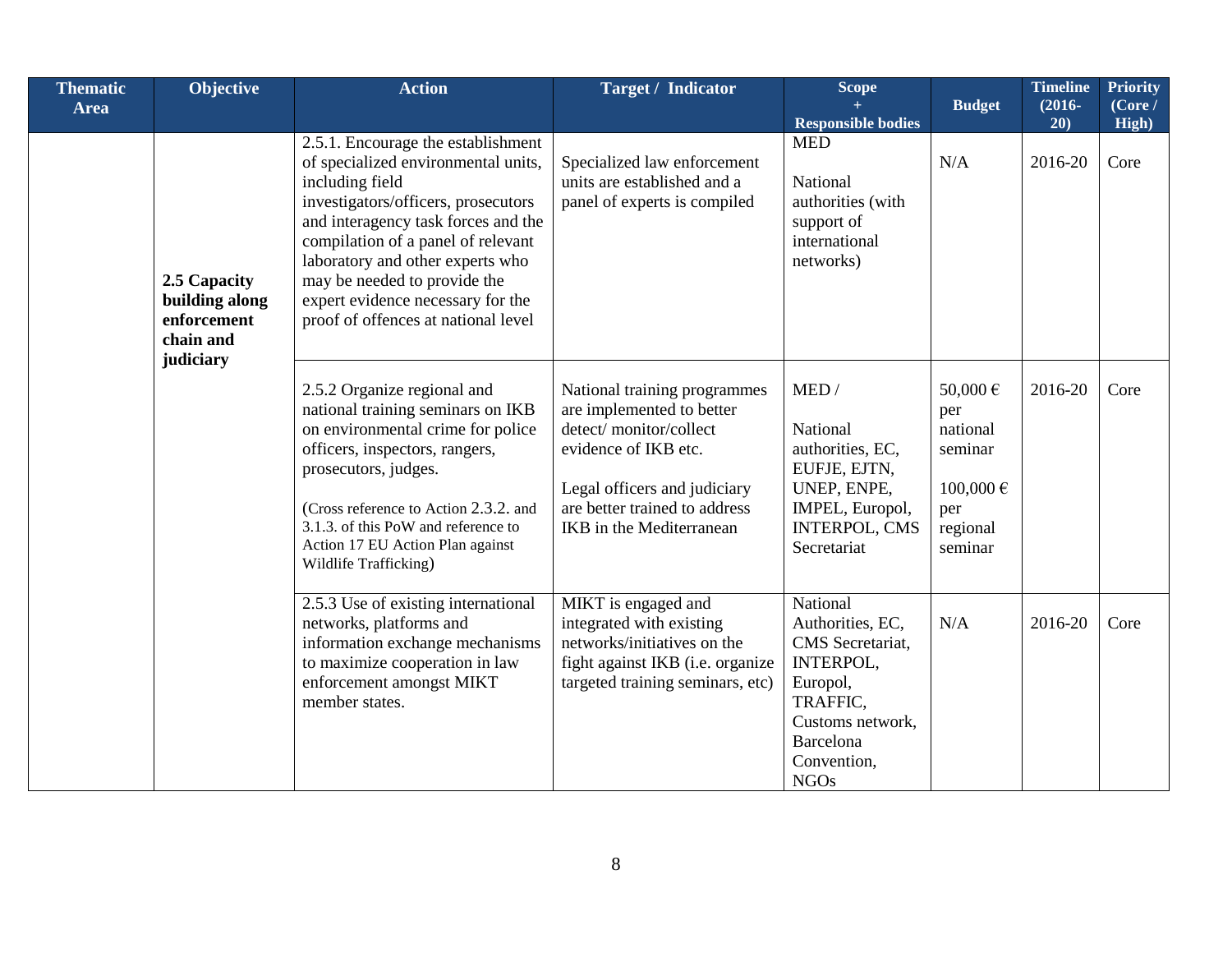| <b>Thematic</b> | <b>Objective</b>                                                        | <b>Action</b>                                                                                                                                                                                                                                                                                                                                                    | <b>Target / Indicator</b>                                                                                                                                                                                       | Scope                                                                                                                                                |                                                                                      | <b>Timeline</b>  | <b>Priority</b>  |
|-----------------|-------------------------------------------------------------------------|------------------------------------------------------------------------------------------------------------------------------------------------------------------------------------------------------------------------------------------------------------------------------------------------------------------------------------------------------------------|-----------------------------------------------------------------------------------------------------------------------------------------------------------------------------------------------------------------|------------------------------------------------------------------------------------------------------------------------------------------------------|--------------------------------------------------------------------------------------|------------------|------------------|
| <b>Area</b>     |                                                                         |                                                                                                                                                                                                                                                                                                                                                                  |                                                                                                                                                                                                                 | <b>Responsible bodies</b>                                                                                                                            | <b>Budget</b>                                                                        | $(2016 -$<br>20) | (Core /<br>High) |
|                 | 2.5 Capacity<br>building along<br>enforcement<br>chain and<br>judiciary | 2.5.1. Encourage the establishment<br>of specialized environmental units,<br>including field<br>investigators/officers, prosecutors<br>and interagency task forces and the<br>compilation of a panel of relevant<br>laboratory and other experts who<br>may be needed to provide the<br>expert evidence necessary for the<br>proof of offences at national level | Specialized law enforcement<br>units are established and a<br>panel of experts is compiled                                                                                                                      | <b>MED</b><br>National<br>authorities (with<br>support of<br>international<br>networks)                                                              | N/A                                                                                  | 2016-20          | Core             |
|                 |                                                                         | 2.5.2 Organize regional and<br>national training seminars on IKB<br>on environmental crime for police<br>officers, inspectors, rangers,<br>prosecutors, judges.<br>(Cross reference to Action 2.3.2. and<br>3.1.3. of this PoW and reference to<br>Action 17 EU Action Plan against<br>Wildlife Trafficking)                                                     | National training programmes<br>are implemented to better<br>detect/monitor/collect<br>evidence of IKB etc.<br>Legal officers and judiciary<br>are better trained to address<br><b>IKB</b> in the Mediterranean | MED/<br>National<br>authorities, EC,<br>EUFJE, EJTN,<br>UNEP, ENPE,<br>IMPEL, Europol,<br><b>INTERPOL, CMS</b><br>Secretariat                        | 50,000€<br>per<br>national<br>seminar<br>$100,000 \in$<br>per<br>regional<br>seminar | 2016-20          | Core             |
|                 |                                                                         | 2.5.3 Use of existing international<br>networks, platforms and<br>information exchange mechanisms<br>to maximize cooperation in law<br>enforcement amongst MIKT<br>member states.                                                                                                                                                                                | MIKT is engaged and<br>integrated with existing<br>networks/initiatives on the<br>fight against IKB (i.e. organize<br>targeted training seminars, etc)                                                          | National<br>Authorities, EC,<br>CMS Secretariat,<br>INTERPOL,<br>Europol,<br>TRAFFIC,<br>Customs network,<br>Barcelona<br>Convention,<br><b>NGOs</b> | N/A                                                                                  | 2016-20          | Core             |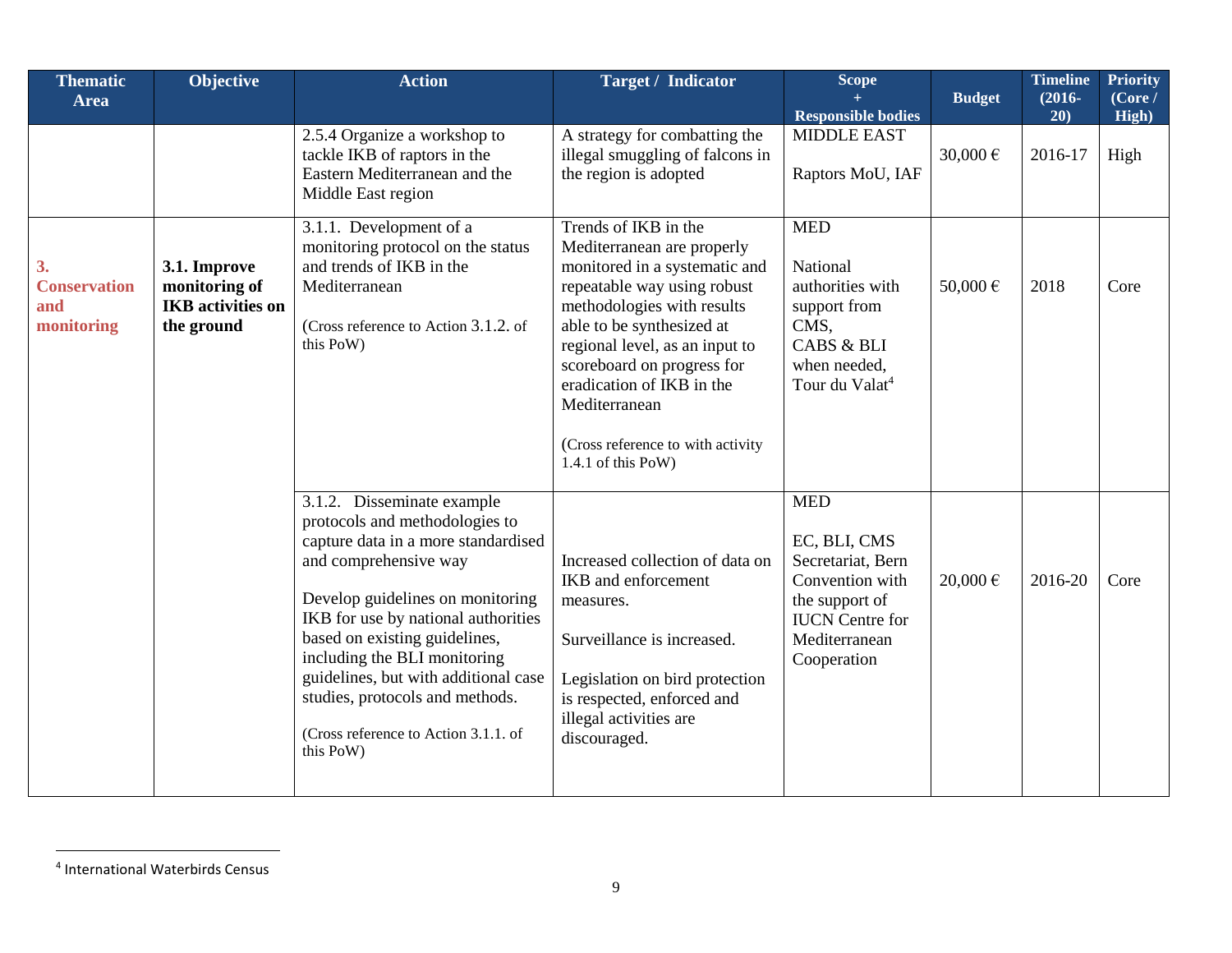| <b>Thematic</b><br><b>Area</b>                 | <b>Objective</b>                                                        | <b>Action</b>                                                                                                                                                                                                                                                                                                                                                                                                          | <b>Target / Indicator</b>                                                                                                                                                                                                                                                                                                                              | Scope                                                                                                                                          | <b>Budget</b> | <b>Timeline</b><br>$(2016 -$ | <b>Priority</b><br>(Core / |
|------------------------------------------------|-------------------------------------------------------------------------|------------------------------------------------------------------------------------------------------------------------------------------------------------------------------------------------------------------------------------------------------------------------------------------------------------------------------------------------------------------------------------------------------------------------|--------------------------------------------------------------------------------------------------------------------------------------------------------------------------------------------------------------------------------------------------------------------------------------------------------------------------------------------------------|------------------------------------------------------------------------------------------------------------------------------------------------|---------------|------------------------------|----------------------------|
|                                                |                                                                         |                                                                                                                                                                                                                                                                                                                                                                                                                        |                                                                                                                                                                                                                                                                                                                                                        | <b>Responsible bodies</b>                                                                                                                      |               | 20)                          | High)                      |
|                                                |                                                                         | 2.5.4 Organize a workshop to<br>tackle IKB of raptors in the<br>Eastern Mediterranean and the<br>Middle East region                                                                                                                                                                                                                                                                                                    | A strategy for combatting the<br>illegal smuggling of falcons in<br>the region is adopted                                                                                                                                                                                                                                                              | <b>MIDDLE EAST</b><br>Raptors MoU, IAF                                                                                                         | 30,000 €      | 2016-17                      | High                       |
| 3.<br><b>Conservation</b><br>and<br>monitoring | 3.1. Improve<br>monitoring of<br><b>IKB</b> activities on<br>the ground | 3.1.1. Development of a<br>monitoring protocol on the status<br>and trends of IKB in the<br>Mediterranean<br>(Cross reference to Action 3.1.2. of<br>this PoW)                                                                                                                                                                                                                                                         | Trends of IKB in the<br>Mediterranean are properly<br>monitored in a systematic and<br>repeatable way using robust<br>methodologies with results<br>able to be synthesized at<br>regional level, as an input to<br>scoreboard on progress for<br>eradication of IKB in the<br>Mediterranean<br>(Cross reference to with activity<br>1.4.1 of this PoW) | <b>MED</b><br>National<br>authorities with<br>support from<br>CMS,<br><b>CABS &amp; BLI</b><br>when needed,<br>Tour du Valat <sup>4</sup>      | 50,000€       | 2018                         | Core                       |
|                                                |                                                                         | $\overline{3.1.2}$ . Disseminate example<br>protocols and methodologies to<br>capture data in a more standardised<br>and comprehensive way<br>Develop guidelines on monitoring<br>IKB for use by national authorities<br>based on existing guidelines,<br>including the BLI monitoring<br>guidelines, but with additional case<br>studies, protocols and methods.<br>(Cross reference to Action 3.1.1. of<br>this PoW) | Increased collection of data on<br>IKB and enforcement<br>measures.<br>Surveillance is increased.<br>Legislation on bird protection<br>is respected, enforced and<br>illegal activities are<br>discouraged.                                                                                                                                            | <b>MED</b><br>EC, BLI, CMS<br>Secretariat, Bern<br>Convention with<br>the support of<br><b>IUCN</b> Centre for<br>Mediterranean<br>Cooperation | $20,000 \in$  | 2016-20                      | Core                       |

<sup>4</sup> International Waterbirds Census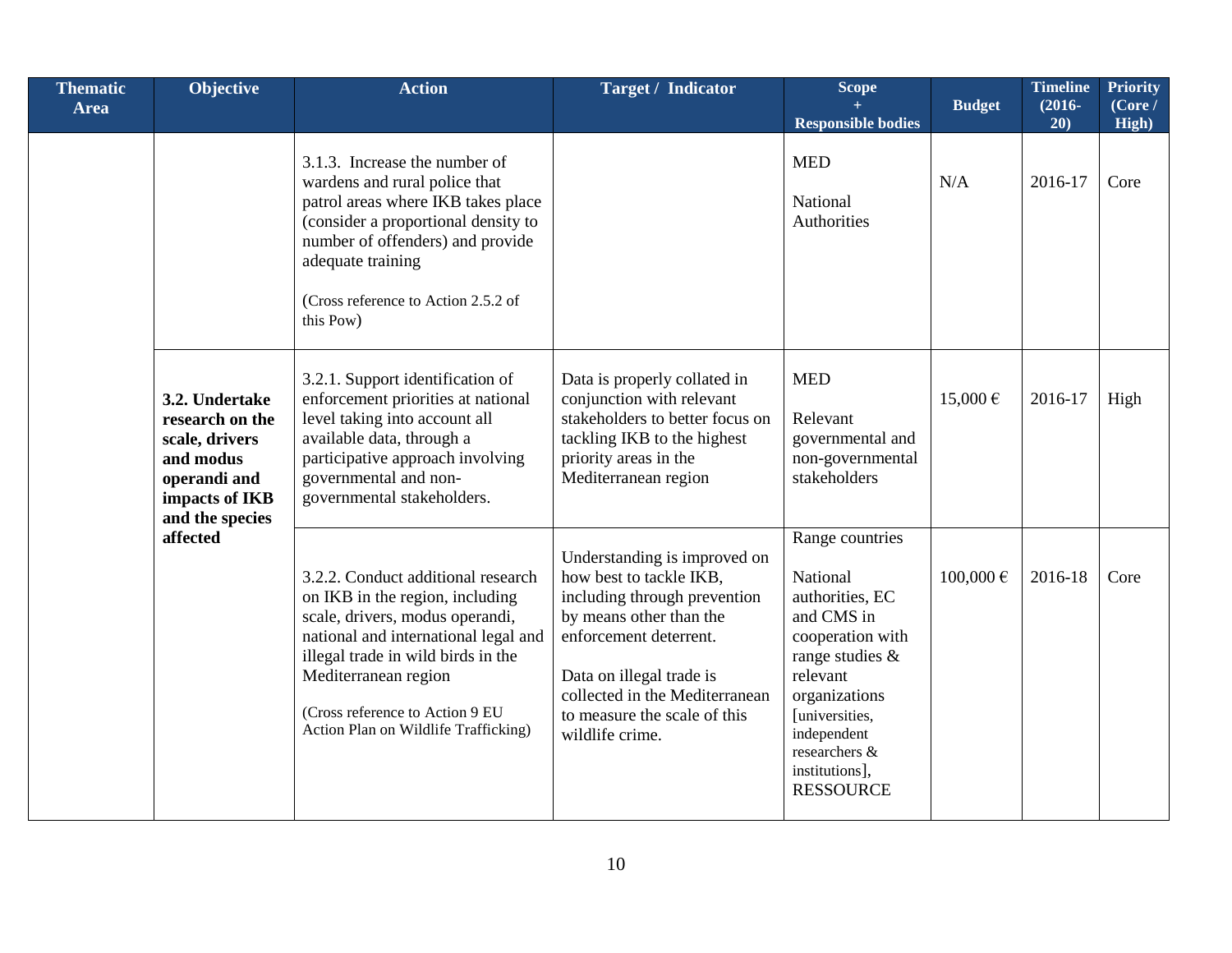| <b>Thematic</b><br><b>Area</b> | Objective                                                                                                                         | <b>Action</b>                                                                                                                                                                                                                                                                             | <b>Target / Indicator</b>                                                                                                                                                                                                                                     | Scope                                                                                                                                                                                                                    | <b>Budget</b> | <b>Timeline</b><br>$(2016 -$ | <b>Priority</b><br>(Core / |
|--------------------------------|-----------------------------------------------------------------------------------------------------------------------------------|-------------------------------------------------------------------------------------------------------------------------------------------------------------------------------------------------------------------------------------------------------------------------------------------|---------------------------------------------------------------------------------------------------------------------------------------------------------------------------------------------------------------------------------------------------------------|--------------------------------------------------------------------------------------------------------------------------------------------------------------------------------------------------------------------------|---------------|------------------------------|----------------------------|
|                                |                                                                                                                                   | 3.1.3. Increase the number of<br>wardens and rural police that<br>patrol areas where IKB takes place<br>(consider a proportional density to<br>number of offenders) and provide<br>adequate training<br>(Cross reference to Action 2.5.2 of<br>this Pow)                                  |                                                                                                                                                                                                                                                               | <b>Responsible bodies</b><br><b>MED</b><br>National<br>Authorities                                                                                                                                                       | N/A           | 20)<br>2016-17               | High)<br>Core              |
|                                | 3.2. Undertake<br>research on the<br>scale, drivers<br>and modus<br>operandi and<br>impacts of IKB<br>and the species<br>affected | 3.2.1. Support identification of<br>enforcement priorities at national<br>level taking into account all<br>available data, through a<br>participative approach involving<br>governmental and non-<br>governmental stakeholders.                                                           | Data is properly collated in<br>conjunction with relevant<br>stakeholders to better focus on<br>tackling IKB to the highest<br>priority areas in the<br>Mediterranean region                                                                                  | <b>MED</b><br>Relevant<br>governmental and<br>non-governmental<br>stakeholders                                                                                                                                           | $15,000 \in$  | 2016-17                      | High                       |
|                                |                                                                                                                                   | 3.2.2. Conduct additional research<br>on IKB in the region, including<br>scale, drivers, modus operandi,<br>national and international legal and<br>illegal trade in wild birds in the<br>Mediterranean region<br>(Cross reference to Action 9 EU<br>Action Plan on Wildlife Trafficking) | Understanding is improved on<br>how best to tackle IKB,<br>including through prevention<br>by means other than the<br>enforcement deterrent.<br>Data on illegal trade is<br>collected in the Mediterranean<br>to measure the scale of this<br>wildlife crime. | Range countries<br>National<br>authorities, EC<br>and CMS in<br>cooperation with<br>range studies &<br>relevant<br>organizations<br>[universities,<br>independent<br>researchers &<br>institutions],<br><b>RESSOURCE</b> | $100,000 \in$ | 2016-18                      | Core                       |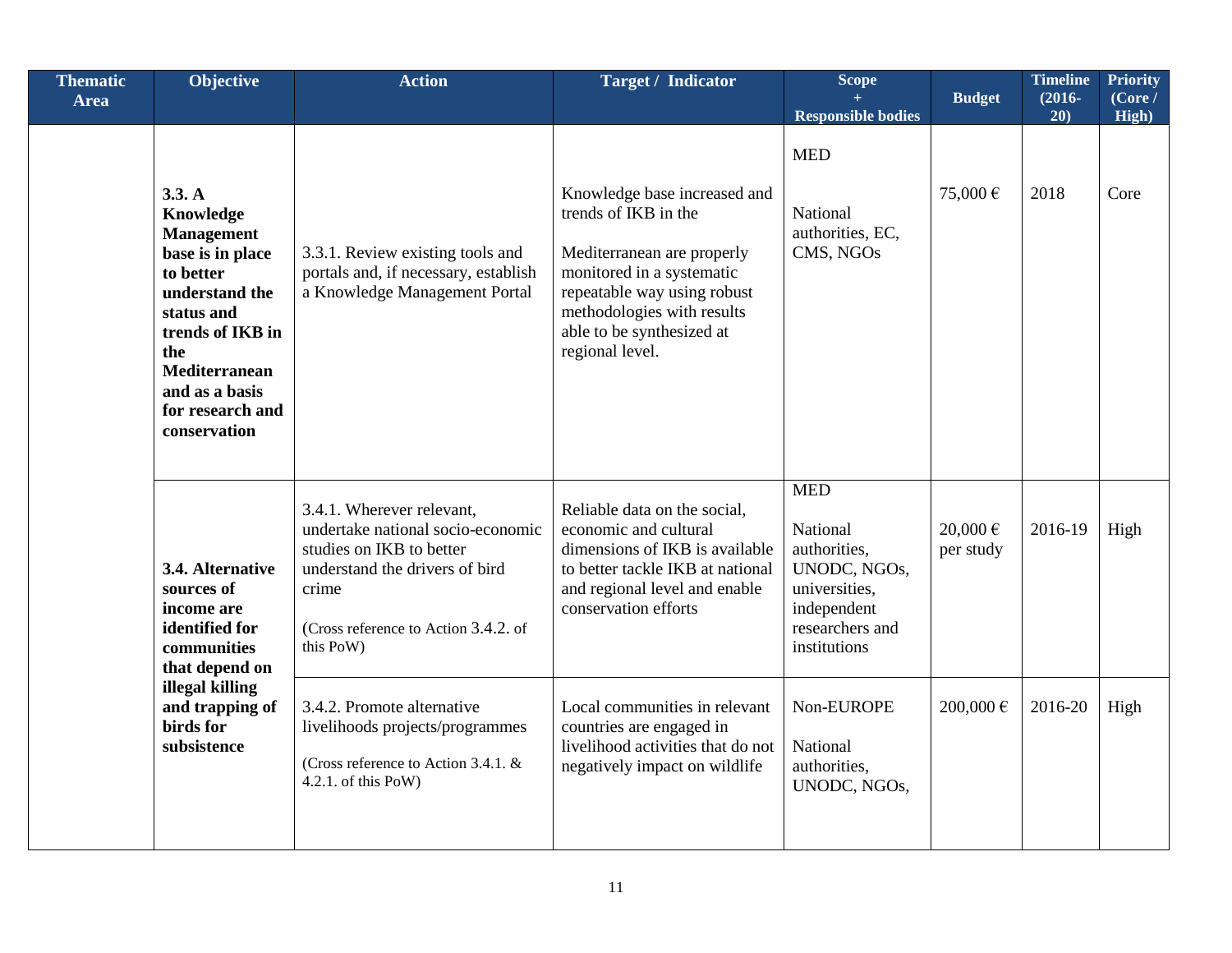| <b>Thematic</b><br><b>Area</b> | Objective                                                                                                                                                                                                          | <b>Action</b>                                                                                                                                                                              | <b>Target / Indicator</b>                                                                                                                                                                                                    | Scope<br><b>Responsible bodies</b>                                                                                        | <b>Budget</b>             | <b>Timeline</b><br>$(2016 -$<br>20) | <b>Priority</b><br>(Core /<br>High) |
|--------------------------------|--------------------------------------------------------------------------------------------------------------------------------------------------------------------------------------------------------------------|--------------------------------------------------------------------------------------------------------------------------------------------------------------------------------------------|------------------------------------------------------------------------------------------------------------------------------------------------------------------------------------------------------------------------------|---------------------------------------------------------------------------------------------------------------------------|---------------------------|-------------------------------------|-------------------------------------|
|                                | 3.3. A<br>Knowledge<br><b>Management</b><br>base is in place<br>to better<br>understand the<br>status and<br>trends of IKB in<br>the<br><b>Mediterranean</b><br>and as a basis<br>for research and<br>conservation | 3.3.1. Review existing tools and<br>portals and, if necessary, establish<br>a Knowledge Management Portal                                                                                  | Knowledge base increased and<br>trends of IKB in the<br>Mediterranean are properly<br>monitored in a systematic<br>repeatable way using robust<br>methodologies with results<br>able to be synthesized at<br>regional level. | <b>MED</b><br>National<br>authorities, EC,<br>CMS, NGOs                                                                   | 75,000€                   | 2018                                | Core                                |
|                                | 3.4. Alternative<br>sources of<br>income are<br>identified for<br>communities<br>that depend on<br>illegal killing<br>and trapping of<br>birds for<br>subsistence                                                  | 3.4.1. Wherever relevant,<br>undertake national socio-economic<br>studies on IKB to better<br>understand the drivers of bird<br>crime<br>(Cross reference to Action 3.4.2. of<br>this PoW) | Reliable data on the social,<br>economic and cultural<br>dimensions of IKB is available<br>to better tackle IKB at national<br>and regional level and enable<br>conservation efforts                                         | <b>MED</b><br>National<br>authorities,<br>UNODC, NGOs,<br>universities,<br>independent<br>researchers and<br>institutions | $20,000 \in$<br>per study | 2016-19                             | High                                |
|                                |                                                                                                                                                                                                                    | 3.4.2. Promote alternative<br>livelihoods projects/programmes<br>(Cross reference to Action 3.4.1. &<br>$4.2.1.$ of this PoW)                                                              | Local communities in relevant<br>countries are engaged in<br>livelihood activities that do not<br>negatively impact on wildlife                                                                                              | Non-EUROPE<br>National<br>authorities,<br>UNODC, NGOs,                                                                    | 200,000€                  | 2016-20                             | High                                |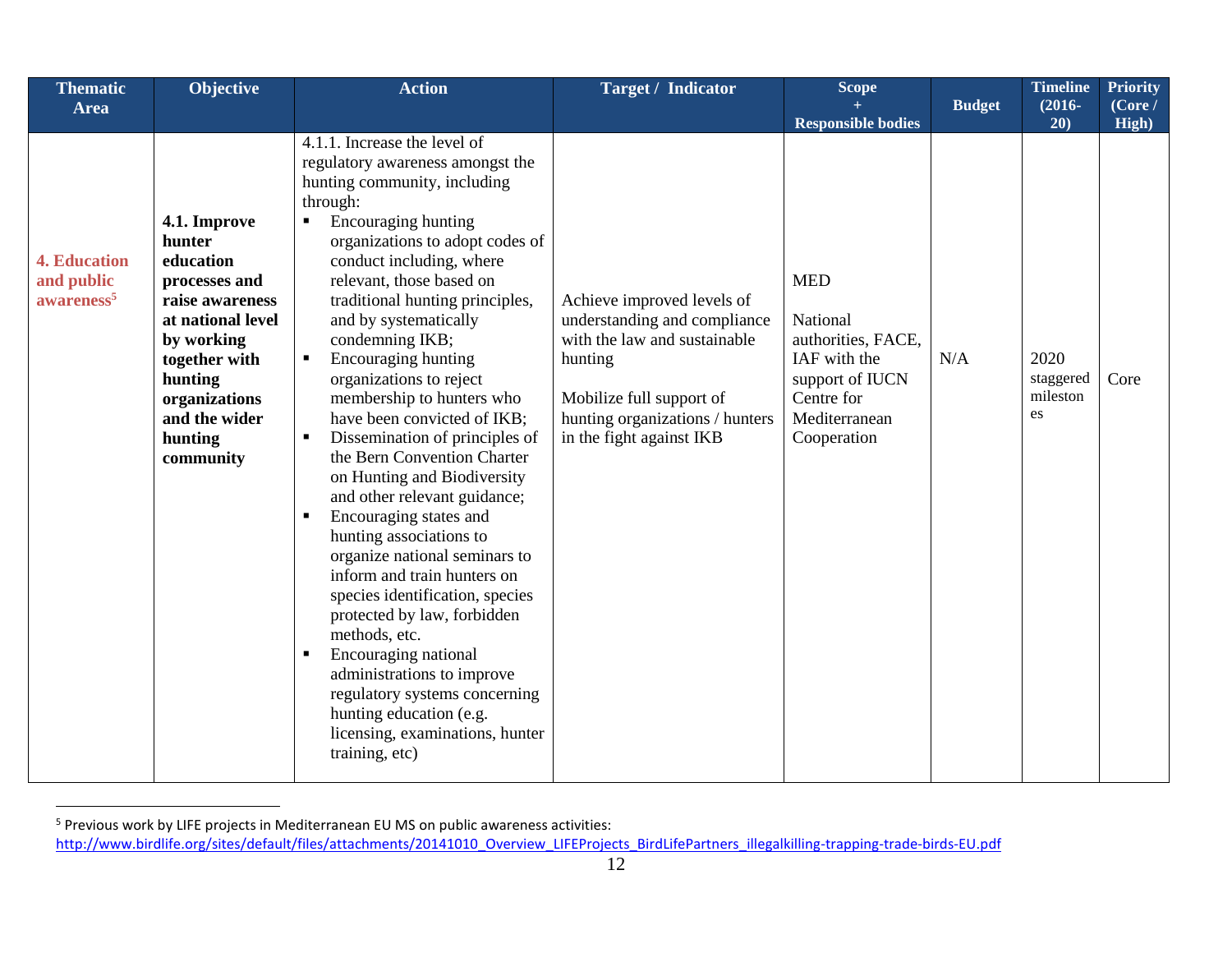| <b>Thematic</b>                                             | Objective                                                                                                                                                                                        | <b>Action</b>                                                                                                                                                                                                                                                                                                                                                                                                                                                                                                                                                                                                                                                                                                                                                                                                                                                                                                                                                                                    | <b>Target / Indicator</b>                                                                                                                                                                        | Scope                                                                                                                         |               | <b>Timeline</b>                     | <b>Priority</b>  |
|-------------------------------------------------------------|--------------------------------------------------------------------------------------------------------------------------------------------------------------------------------------------------|--------------------------------------------------------------------------------------------------------------------------------------------------------------------------------------------------------------------------------------------------------------------------------------------------------------------------------------------------------------------------------------------------------------------------------------------------------------------------------------------------------------------------------------------------------------------------------------------------------------------------------------------------------------------------------------------------------------------------------------------------------------------------------------------------------------------------------------------------------------------------------------------------------------------------------------------------------------------------------------------------|--------------------------------------------------------------------------------------------------------------------------------------------------------------------------------------------------|-------------------------------------------------------------------------------------------------------------------------------|---------------|-------------------------------------|------------------|
| <b>Area</b>                                                 |                                                                                                                                                                                                  |                                                                                                                                                                                                                                                                                                                                                                                                                                                                                                                                                                                                                                                                                                                                                                                                                                                                                                                                                                                                  |                                                                                                                                                                                                  | <b>Responsible bodies</b>                                                                                                     | <b>Budget</b> | $(2016 -$<br>20)                    | (Core /<br>High) |
| <b>4. Education</b><br>and public<br>awareness <sup>5</sup> | 4.1. Improve<br>hunter<br>education<br>processes and<br>raise awareness<br>at national level<br>by working<br>together with<br>hunting<br>organizations<br>and the wider<br>hunting<br>community | 4.1.1. Increase the level of<br>regulatory awareness amongst the<br>hunting community, including<br>through:<br>Encouraging hunting<br>organizations to adopt codes of<br>conduct including, where<br>relevant, those based on<br>traditional hunting principles,<br>and by systematically<br>condemning IKB;<br>Encouraging hunting<br>$\blacksquare$<br>organizations to reject<br>membership to hunters who<br>have been convicted of IKB;<br>Dissemination of principles of<br>$\blacksquare$<br>the Bern Convention Charter<br>on Hunting and Biodiversity<br>and other relevant guidance;<br>Encouraging states and<br>hunting associations to<br>organize national seminars to<br>inform and train hunters on<br>species identification, species<br>protected by law, forbidden<br>methods, etc.<br>Encouraging national<br>$\blacksquare$<br>administrations to improve<br>regulatory systems concerning<br>hunting education (e.g.<br>licensing, examinations, hunter<br>training, etc) | Achieve improved levels of<br>understanding and compliance<br>with the law and sustainable<br>hunting<br>Mobilize full support of<br>hunting organizations / hunters<br>in the fight against IKB | <b>MED</b><br>National<br>authorities, FACE,<br>IAF with the<br>support of IUCN<br>Centre for<br>Mediterranean<br>Cooperation | N/A           | 2020<br>staggered<br>mileston<br>es | Core             |

<sup>&</sup>lt;sup>5</sup> Previous work by LIFE projects in Mediterranean EU MS on public awareness activities: [http://www.birdlife.org/sites/default/files/attachments/20141010\\_Overview\\_LIFEProjects\\_BirdLifePartners\\_illegalkilling-trapping-trade-birds-EU.pdf](http://www.birdlife.org/sites/default/files/attachments/20141010_Overview_LIFEProjects_BirdLifePartners_illegalkilling-trapping-trade-birds-EU.pdf)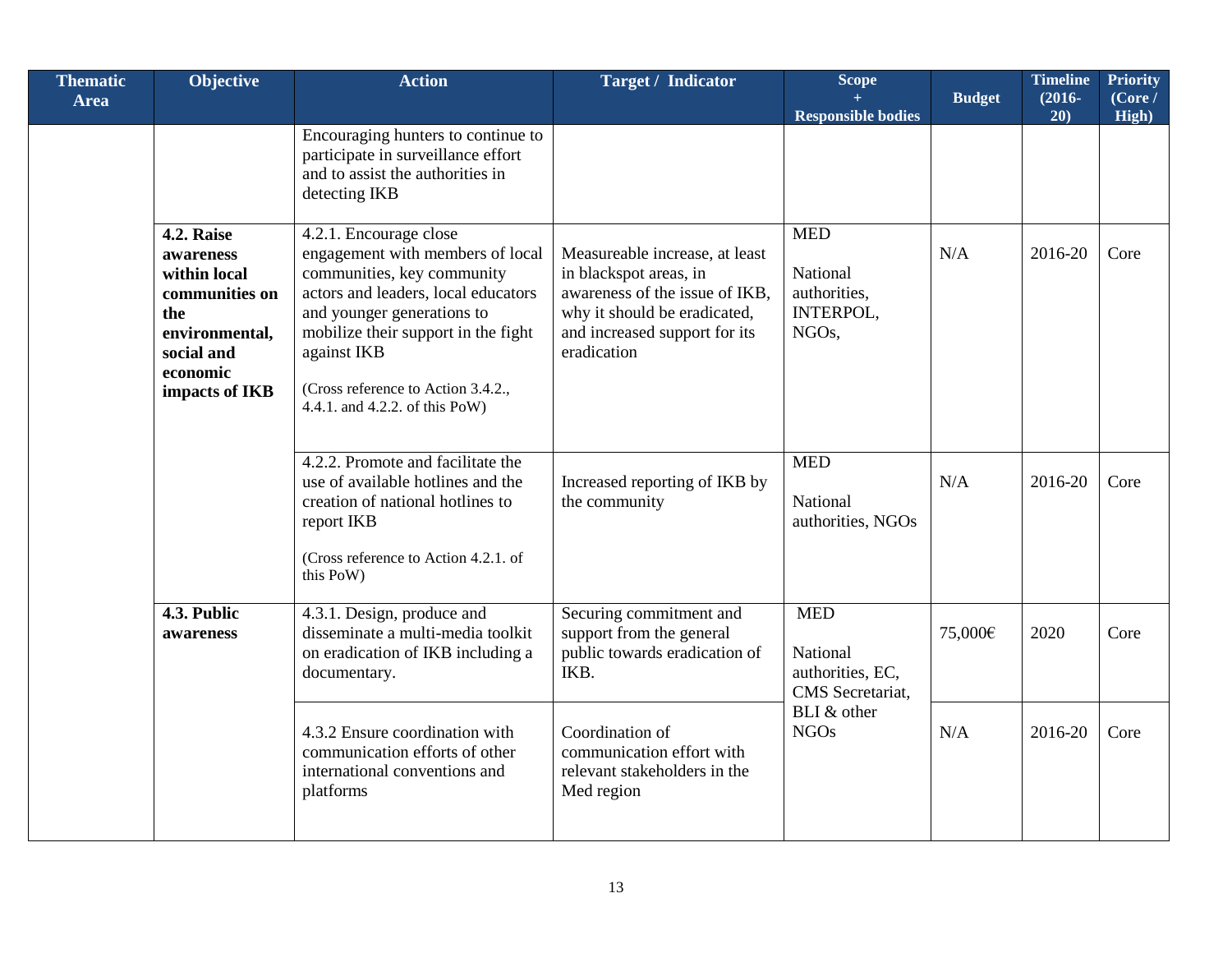| <b>Thematic</b><br><b>Area</b> | Objective                                                                                                                                                         | <b>Action</b>                                                                                                                                                                                                                                                                               | <b>Target / Indicator</b>                                                                                                                                                  | Scope<br><b>Responsible bodies</b>                                        | <b>Budget</b> | <b>Timeline</b><br>$(2016 -$<br>20) | <b>Priority</b><br>(Core /<br>High) |
|--------------------------------|-------------------------------------------------------------------------------------------------------------------------------------------------------------------|---------------------------------------------------------------------------------------------------------------------------------------------------------------------------------------------------------------------------------------------------------------------------------------------|----------------------------------------------------------------------------------------------------------------------------------------------------------------------------|---------------------------------------------------------------------------|---------------|-------------------------------------|-------------------------------------|
|                                |                                                                                                                                                                   | Encouraging hunters to continue to<br>participate in surveillance effort<br>and to assist the authorities in<br>detecting IKB                                                                                                                                                               |                                                                                                                                                                            |                                                                           |               |                                     |                                     |
|                                | <b>4.2. Raise</b><br>awareness<br>within local<br>communities on<br>the<br>environmental,<br>social and<br>economic<br>impacts of IKB<br>4.3. Public<br>awareness | 4.2.1. Encourage close<br>engagement with members of local<br>communities, key community<br>actors and leaders, local educators<br>and younger generations to<br>mobilize their support in the fight<br>against IKB<br>(Cross reference to Action 3.4.2.,<br>4.4.1. and 4.2.2. of this PoW) | Measureable increase, at least<br>in blackspot areas, in<br>awareness of the issue of IKB,<br>why it should be eradicated,<br>and increased support for its<br>eradication | <b>MED</b><br>National<br>authorities,<br>INTERPOL,<br>NGO <sub>s</sub> , | N/A           | 2016-20                             | Core                                |
|                                |                                                                                                                                                                   | 4.2.2. Promote and facilitate the<br>use of available hotlines and the<br>creation of national hotlines to<br>report IKB<br>(Cross reference to Action 4.2.1. of<br>this PoW)                                                                                                               | Increased reporting of IKB by<br>the community                                                                                                                             | <b>MED</b><br>National<br>authorities, NGOs                               | N/A           | 2016-20                             | Core                                |
|                                |                                                                                                                                                                   | 4.3.1. Design, produce and<br>disseminate a multi-media toolkit<br>on eradication of IKB including a<br>documentary.                                                                                                                                                                        | Securing commitment and<br>support from the general<br>public towards eradication of<br>IKB.                                                                               | <b>MED</b><br>National<br>authorities, EC,<br>CMS Secretariat,            | 75,000€       | 2020                                | Core                                |
|                                |                                                                                                                                                                   | 4.3.2 Ensure coordination with<br>communication efforts of other<br>international conventions and<br>platforms                                                                                                                                                                              | Coordination of<br>communication effort with<br>relevant stakeholders in the<br>Med region                                                                                 | BLI & other<br><b>NGOs</b>                                                | N/A           | 2016-20                             | Core                                |

Г